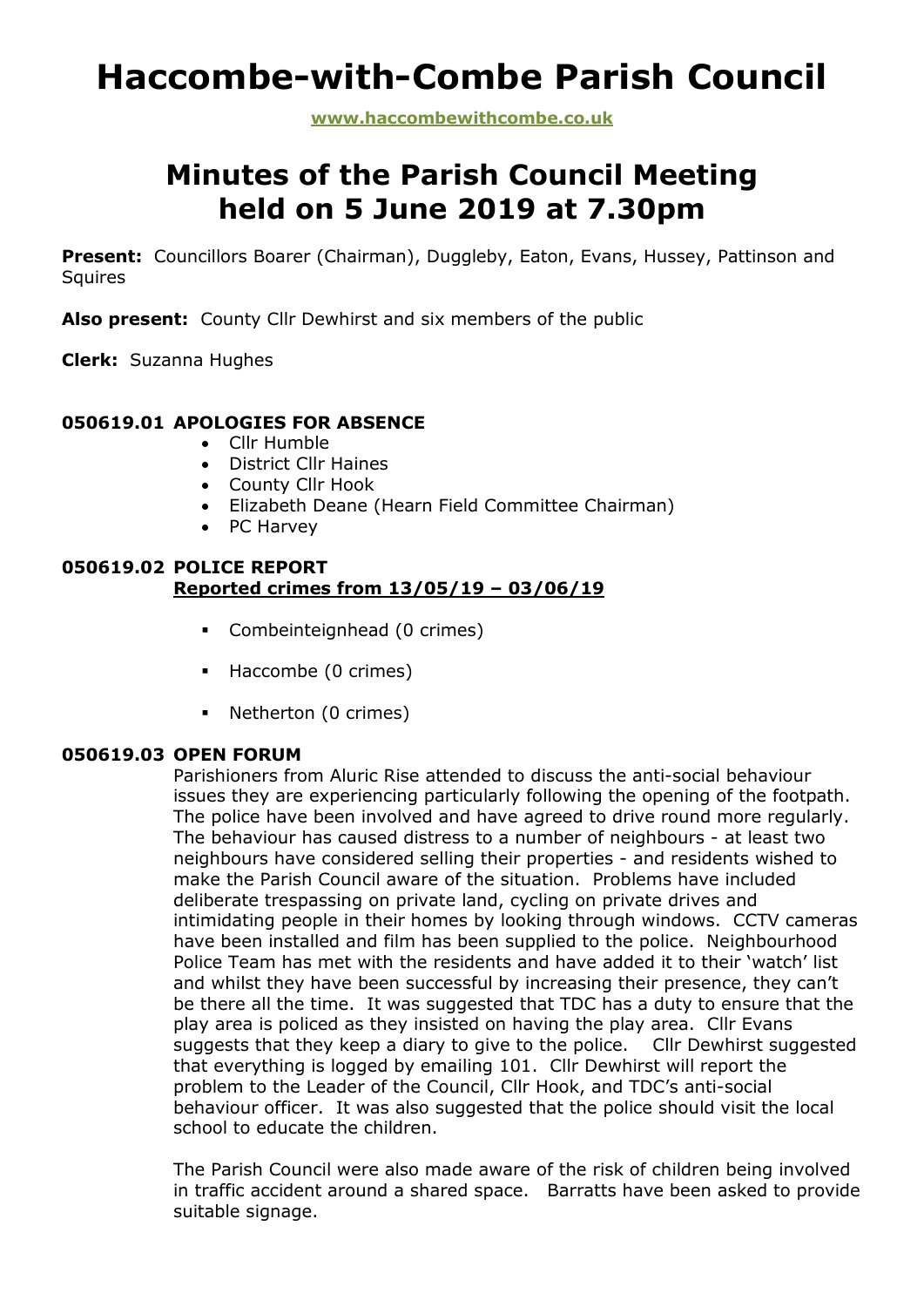# **Haccombe-with-Combe Parish Council**

**www.haccombewithcombe.co.uk**

# **Minutes of the Parish Council Meeting held on 5 June 2019 at 7.30pm**

Present: Councillors Boarer (Chairman), Duggleby, Eaton, Evans, Hussey, Pattinson and **Squires** 

**Also present:** County Cllr Dewhirst and six members of the public

**Clerk:** Suzanna Hughes

### **050619.01 APOLOGIES FOR ABSENCE**

- Cllr Humble
- District Cllr Haines
- County Cllr Hook
- Elizabeth Deane (Hearn Field Committee Chairman)
- PC Harvey

### **050619.02 POLICE REPORT Reported crimes from 13/05/19 – 03/06/19**

- Combeinteignhead (0 crimes)
- Haccombe (0 crimes)
- Netherton (0 crimes)

#### **050619.03 OPEN FORUM**

Parishioners from Aluric Rise attended to discuss the anti-social behaviour issues they are experiencing particularly following the opening of the footpath. The police have been involved and have agreed to drive round more regularly. The behaviour has caused distress to a number of neighbours - at least two neighbours have considered selling their properties - and residents wished to make the Parish Council aware of the situation. Problems have included deliberate trespassing on private land, cycling on private drives and intimidating people in their homes by looking through windows. CCTV cameras have been installed and film has been supplied to the police. Neighbourhood Police Team has met with the residents and have added it to their 'watch' list and whilst they have been successful by increasing their presence, they can't be there all the time. It was suggested that TDC has a duty to ensure that the play area is policed as they insisted on having the play area. Cllr Evans suggests that they keep a diary to give to the police. Cllr Dewhirst suggested that everything is logged by emailing 101. Cllr Dewhirst will report the problem to the Leader of the Council, Cllr Hook, and TDC's anti-social behaviour officer. It was also suggested that the police should visit the local school to educate the children.

The Parish Council were also made aware of the risk of children being involved in traffic accident around a shared space. Barratts have been asked to provide suitable signage.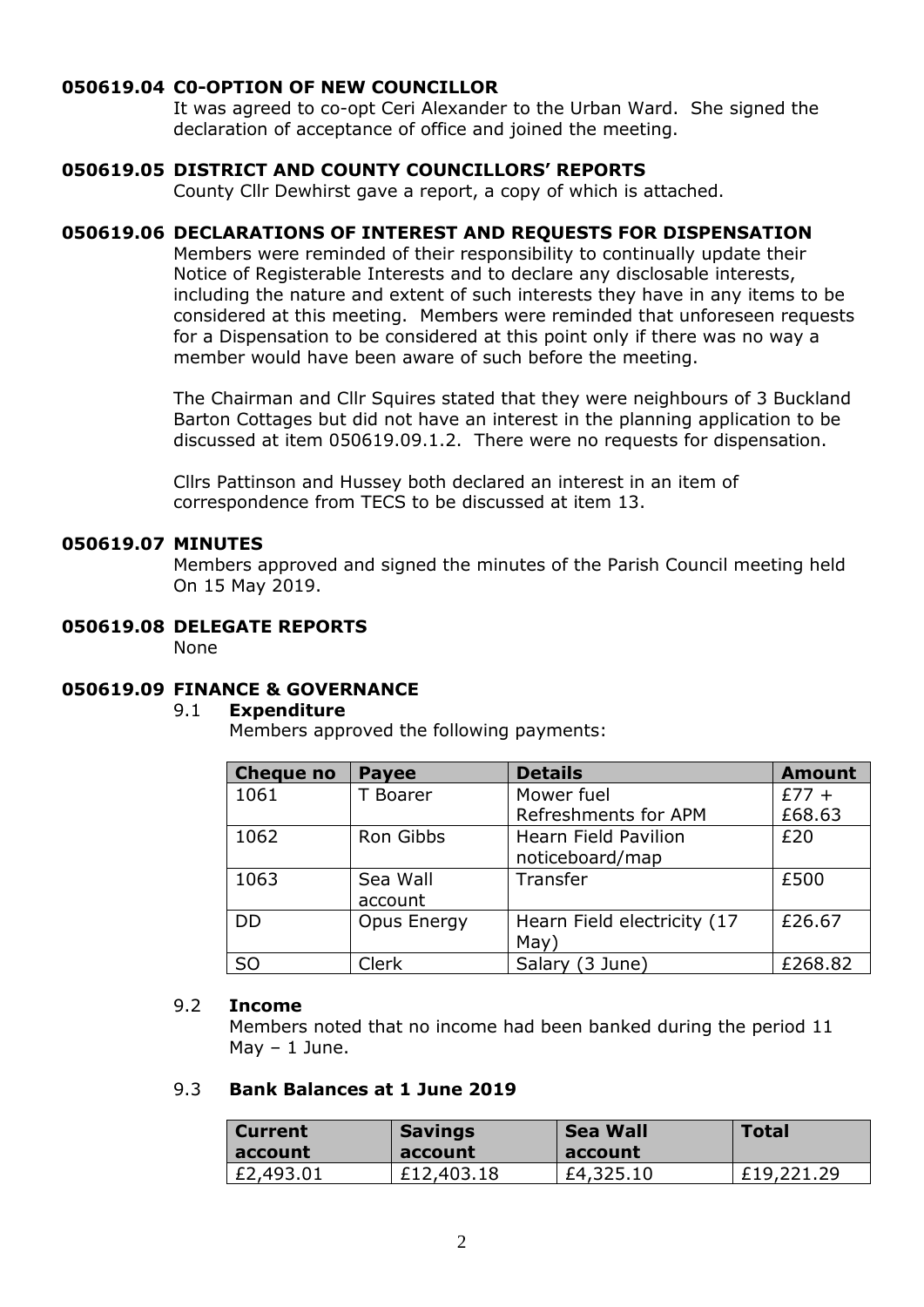#### **050619.04 C0-OPTION OF NEW COUNCILLOR**

It was agreed to co-opt Ceri Alexander to the Urban Ward. She signed the declaration of acceptance of office and joined the meeting.

#### **050619.05 DISTRICT AND COUNTY COUNCILLORS' REPORTS**

County Cllr Dewhirst gave a report, a copy of which is attached.

#### **050619.06 DECLARATIONS OF INTEREST AND REQUESTS FOR DISPENSATION**

Members were reminded of their responsibility to continually update their Notice of Registerable Interests and to declare any disclosable interests, including the nature and extent of such interests they have in any items to be considered at this meeting. Members were reminded that unforeseen requests for a Dispensation to be considered at this point only if there was no way a member would have been aware of such before the meeting.

The Chairman and Cllr Squires stated that they were neighbours of 3 Buckland Barton Cottages but did not have an interest in the planning application to be discussed at item 050619.09.1.2. There were no requests for dispensation.

Cllrs Pattinson and Hussey both declared an interest in an item of correspondence from TECS to be discussed at item 13.

#### **050619.07 MINUTES**

Members approved and signed the minutes of the Parish Council meeting held On 15 May 2019.

## **050619.08 DELEGATE REPORTS**

None

#### **050619.09 FINANCE & GOVERNANCE**

#### 9.1 **Expenditure**

Members approved the following payments:

| <b>Cheque no</b> | <b>Payee</b> | <b>Details</b>              | <b>Amount</b> |
|------------------|--------------|-----------------------------|---------------|
| 1061             | T Boarer     | Mower fuel                  | $£77 +$       |
|                  |              | Refreshments for APM        | £68.63        |
| 1062             | Ron Gibbs    | <b>Hearn Field Pavilion</b> | £20           |
|                  |              | noticeboard/map             |               |
| 1063             | Sea Wall     | Transfer                    | £500          |
|                  | account      |                             |               |
| <b>DD</b>        | Opus Energy  | Hearn Field electricity (17 | £26.67        |
|                  |              | May)                        |               |
| S <sub>O</sub>   | <b>Clerk</b> | Salary (3 June)             | £268.82       |

#### 9.2 **Income**

Members noted that no income had been banked during the period 11 May  $-1$  June.

#### 9.3 **Bank Balances at 1 June 2019**

| <b>Current</b> | <b>Savings</b> | <b>Sea Wall</b> | <b>Total</b> |
|----------------|----------------|-----------------|--------------|
| account        | account        | account         |              |
| £2,493.01      | £12,403.18     | £4,325.10       | £19,221.29   |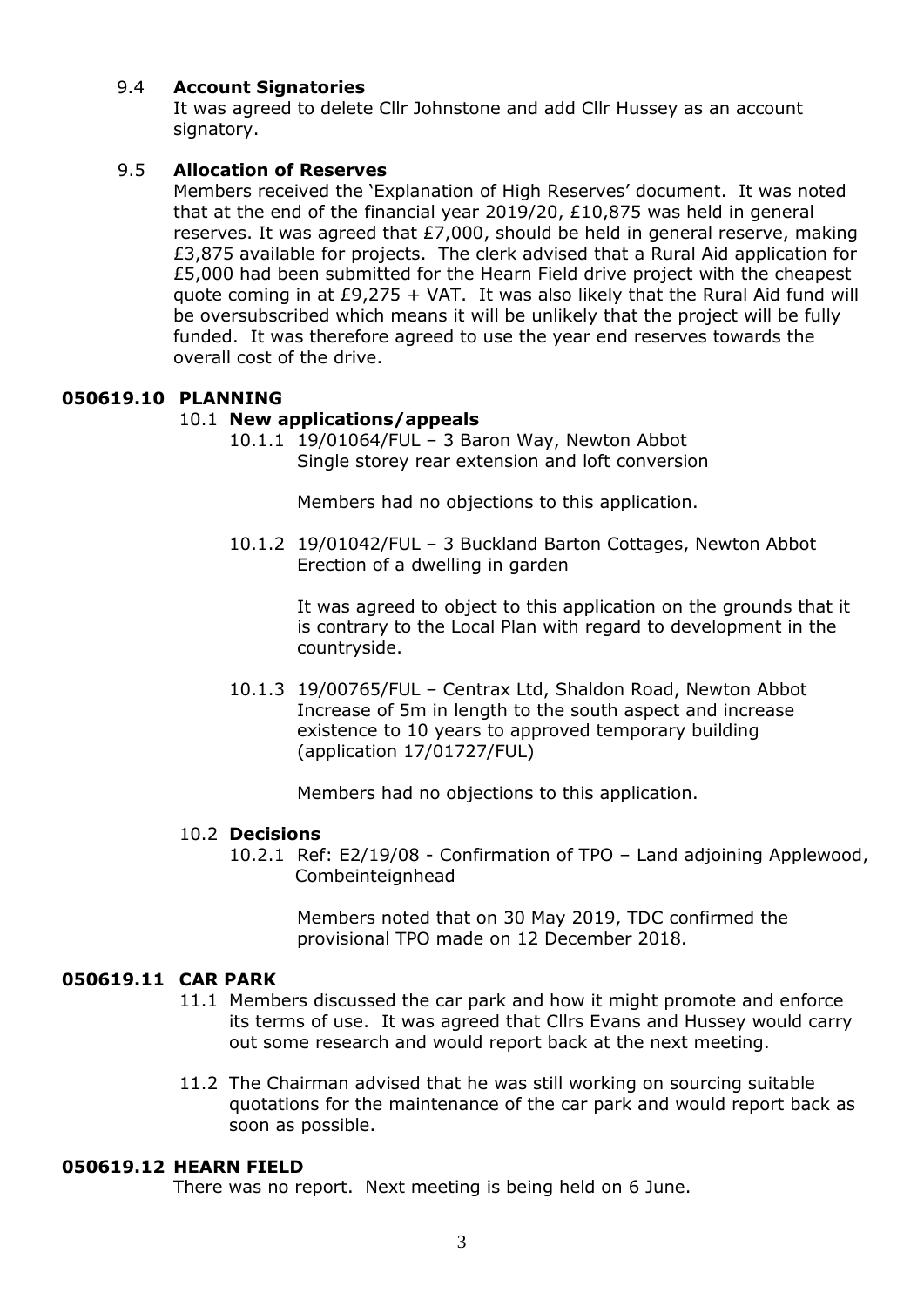#### 9.4 **Account Signatories**

It was agreed to delete Cllr Johnstone and add Cllr Hussey as an account signatory.

#### 9.5 **Allocation of Reserves**

Members received the 'Explanation of High Reserves' document. It was noted that at the end of the financial year 2019/20, £10,875 was held in general reserves. It was agreed that £7,000, should be held in general reserve, making £3,875 available for projects. The clerk advised that a Rural Aid application for £5,000 had been submitted for the Hearn Field drive project with the cheapest quote coming in at  $E9,275 + VAT$ . It was also likely that the Rural Aid fund will be oversubscribed which means it will be unlikely that the project will be fully funded. It was therefore agreed to use the year end reserves towards the overall cost of the drive.

#### **050619.10 PLANNING**

#### 10.1 **New applications/appeals**

10.1.1 19/01064/FUL – 3 Baron Way, Newton Abbot Single storey rear extension and loft conversion

Members had no objections to this application.

10.1.2 19/01042/FUL – 3 Buckland Barton Cottages, Newton Abbot Erection of a dwelling in garden

> It was agreed to object to this application on the grounds that it is contrary to the Local Plan with regard to development in the countryside.

10.1.3 19/00765/FUL – Centrax Ltd, Shaldon Road, Newton Abbot Increase of 5m in length to the south aspect and increase existence to 10 years to approved temporary building (application 17/01727/FUL)

Members had no objections to this application.

#### 10.2 **Decisions**

10.2.1 Ref: E2/19/08 - Confirmation of TPO – Land adjoining Applewood, **Combeinteignhead** 

> Members noted that on 30 May 2019, TDC confirmed the provisional TPO made on 12 December 2018.

### **050619.11 CAR PARK**

- 11.1 Members discussed the car park and how it might promote and enforce its terms of use. It was agreed that Cllrs Evans and Hussey would carry out some research and would report back at the next meeting.
- 11.2 The Chairman advised that he was still working on sourcing suitable quotations for the maintenance of the car park and would report back as soon as possible.

#### **050619.12 HEARN FIELD**

There was no report. Next meeting is being held on 6 June.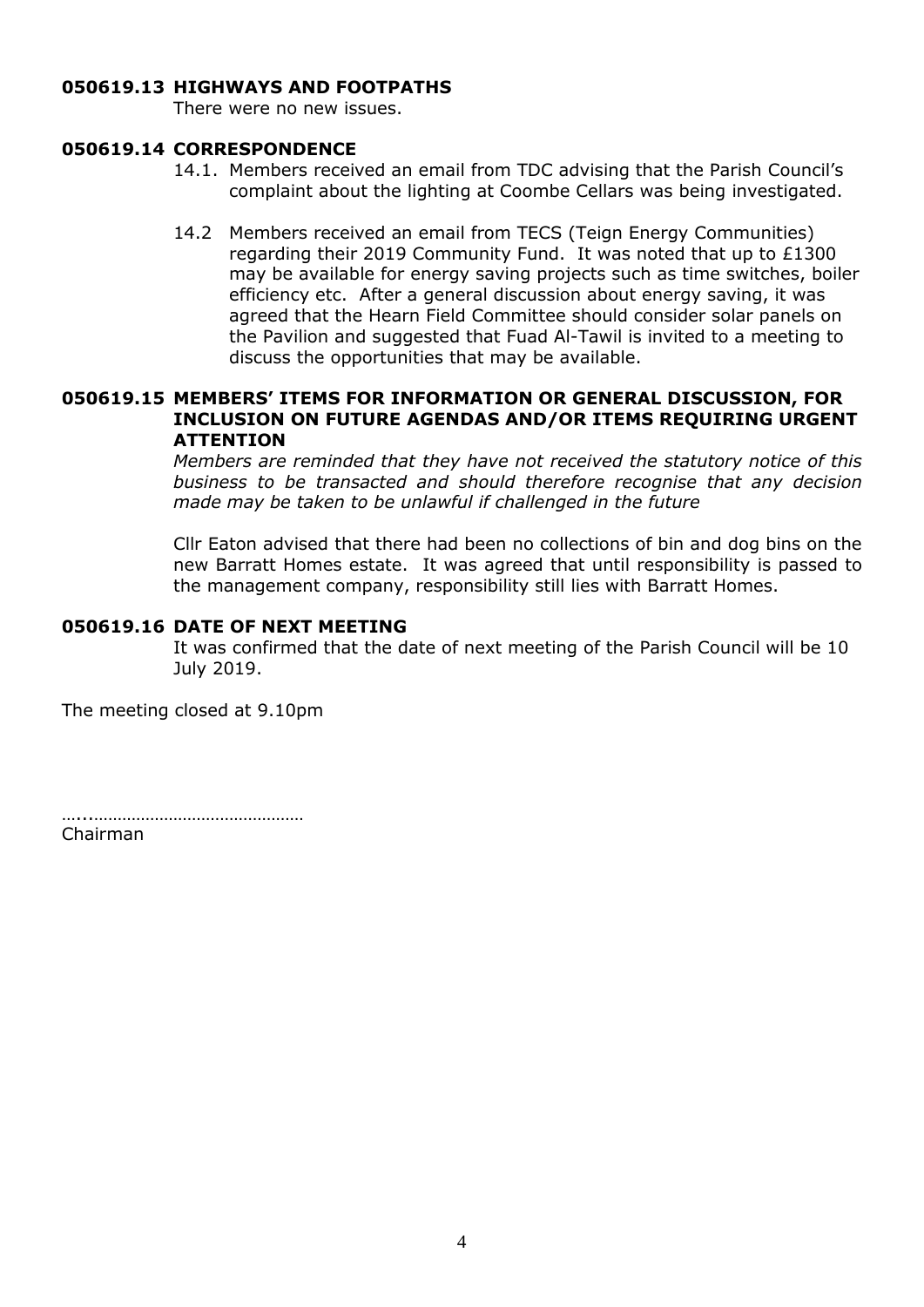### **050619.13 HIGHWAYS AND FOOTPATHS**

There were no new issues.

#### **050619.14 CORRESPONDENCE**

- 14.1. Members received an email from TDC advising that the Parish Council's complaint about the lighting at Coombe Cellars was being investigated.
- 14.2 Members received an email from TECS (Teign Energy Communities) regarding their 2019 Community Fund. It was noted that up to £1300 may be available for energy saving projects such as time switches, boiler efficiency etc. After a general discussion about energy saving, it was agreed that the Hearn Field Committee should consider solar panels on the Pavilion and suggested that Fuad Al-Tawil is invited to a meeting to discuss the opportunities that may be available.

#### **050619.15 MEMBERS' ITEMS FOR INFORMATION OR GENERAL DISCUSSION, FOR INCLUSION ON FUTURE AGENDAS AND/OR ITEMS REQUIRING URGENT ATTENTION**

*Members are reminded that they have not received the statutory notice of this business to be transacted and should therefore recognise that any decision made may be taken to be unlawful if challenged in the future*

Cllr Eaton advised that there had been no collections of bin and dog bins on the new Barratt Homes estate. It was agreed that until responsibility is passed to the management company, responsibility still lies with Barratt Homes.

#### **050619.16 DATE OF NEXT MEETING**

It was confirmed that the date of next meeting of the Parish Council will be 10 July 2019.

The meeting closed at 9.10pm

…...……………………………………… Chairman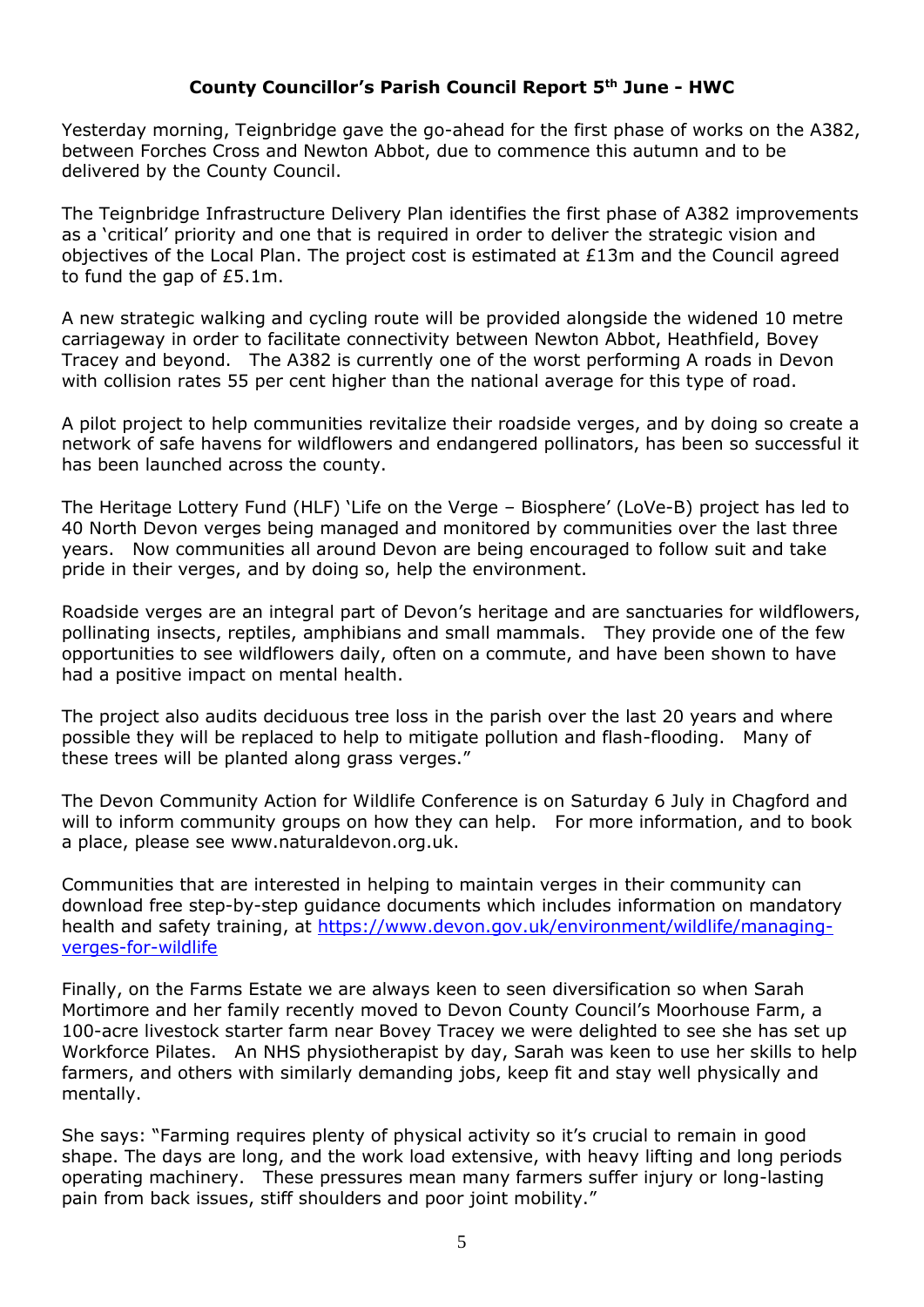# **County Councillor's Parish Council Report 5th June - HWC**

Yesterday morning, Teignbridge gave the go-ahead for the first phase of works on the A382, between Forches Cross and Newton Abbot, due to commence this autumn and to be delivered by the County Council.

The Teignbridge Infrastructure Delivery Plan identifies the first phase of A382 improvements as a 'critical' priority and one that is required in order to deliver the strategic vision and objectives of the Local Plan. The project cost is estimated at £13m and the Council agreed to fund the gap of £5.1m.

A new strategic walking and cycling route will be provided alongside the widened 10 metre carriageway in order to facilitate connectivity between Newton Abbot, Heathfield, Bovey Tracey and beyond. The A382 is currently one of the worst performing A roads in Devon with collision rates 55 per cent higher than the national average for this type of road.

A pilot project to help communities revitalize their roadside verges, and by doing so create a network of safe havens for wildflowers and endangered pollinators, has been so successful it has been launched across the county.

The Heritage Lottery Fund (HLF) 'Life on the Verge – Biosphere' (LoVe-B) project has led to 40 North Devon verges being managed and monitored by communities over the last three years. Now communities all around Devon are being encouraged to follow suit and take pride in their verges, and by doing so, help the environment.

Roadside verges are an integral part of Devon's heritage and are sanctuaries for wildflowers, pollinating insects, reptiles, amphibians and small mammals. They provide one of the few opportunities to see wildflowers daily, often on a commute, and have been shown to have had a positive impact on mental health.

The project also audits deciduous tree loss in the parish over the last 20 years and where possible they will be replaced to help to mitigate pollution and flash-flooding. Many of these trees will be planted along grass verges."

The Devon Community Action for Wildlife Conference is on Saturday 6 July in Chagford and will to inform community groups on how they can help. For more information, and to book a place, please see www.naturaldevon.org.uk.

Communities that are interested in helping to maintain verges in their community can download free step-by-step guidance documents which includes information on mandatory health and safety training, at [https://www.devon.gov.uk/environment/wildlife/managing](https://www.devon.gov.uk/environment/wildlife/managing-verges-for-wildlife)[verges-for-wildlife](https://www.devon.gov.uk/environment/wildlife/managing-verges-for-wildlife)

Finally, on the Farms Estate we are always keen to seen diversification so when Sarah Mortimore and her family recently moved to Devon County Council's Moorhouse Farm, a 100-acre livestock starter farm near Bovey Tracey we were delighted to see she has set up Workforce Pilates. An NHS physiotherapist by day, Sarah was keen to use her skills to help farmers, and others with similarly demanding jobs, keep fit and stay well physically and mentally.

She says: "Farming requires plenty of physical activity so it's crucial to remain in good shape. The days are long, and the work load extensive, with heavy lifting and long periods operating machinery. These pressures mean many farmers suffer injury or long-lasting pain from back issues, stiff shoulders and poor joint mobility."